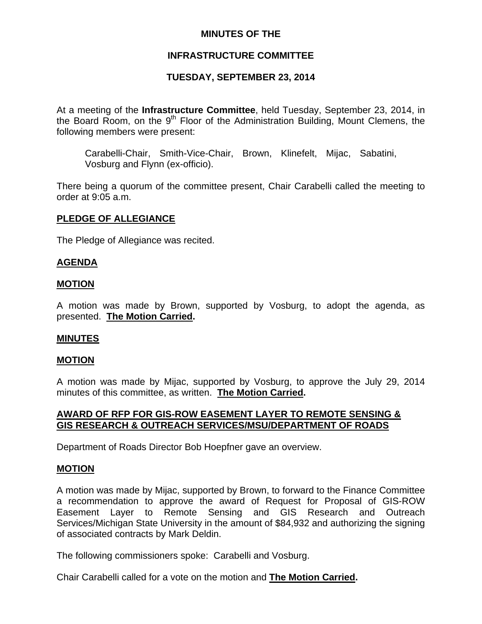## **MINUTES OF THE**

# **INFRASTRUCTURE COMMITTEE**

# **TUESDAY, SEPTEMBER 23, 2014**

At a meeting of the **Infrastructure Committee**, held Tuesday, September 23, 2014, in the Board Room, on the  $9<sup>th</sup>$  Floor of the Administration Building, Mount Clemens, the following members were present:

Carabelli-Chair, Smith-Vice-Chair, Brown, Klinefelt, Mijac, Sabatini, Vosburg and Flynn (ex-officio).

There being a quorum of the committee present, Chair Carabelli called the meeting to order at 9:05 a.m.

### **PLEDGE OF ALLEGIANCE**

The Pledge of Allegiance was recited.

### **AGENDA**

### **MOTION**

A motion was made by Brown, supported by Vosburg, to adopt the agenda, as presented. **The Motion Carried.** 

#### **MINUTES**

#### **MOTION**

A motion was made by Mijac, supported by Vosburg, to approve the July 29, 2014 minutes of this committee, as written. **The Motion Carried.** 

### **AWARD OF RFP FOR GIS-ROW EASEMENT LAYER TO REMOTE SENSING & GIS RESEARCH & OUTREACH SERVICES/MSU/DEPARTMENT OF ROADS**

Department of Roads Director Bob Hoepfner gave an overview.

#### **MOTION**

A motion was made by Mijac, supported by Brown, to forward to the Finance Committee a recommendation to approve the award of Request for Proposal of GIS-ROW Easement Layer to Remote Sensing and GIS Research and Outreach Services/Michigan State University in the amount of \$84,932 and authorizing the signing of associated contracts by Mark Deldin.

The following commissioners spoke: Carabelli and Vosburg.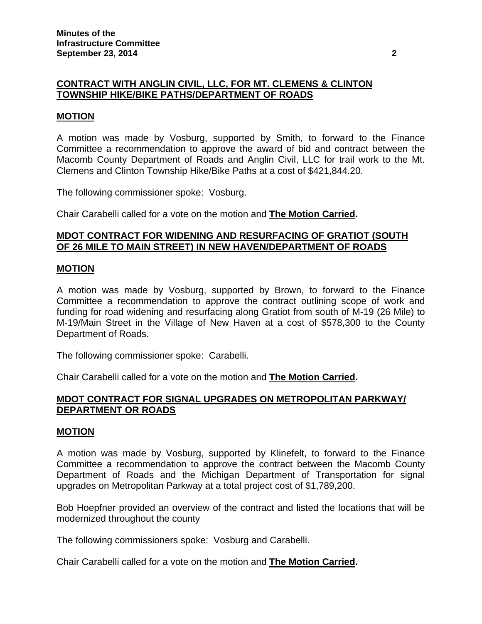# **CONTRACT WITH ANGLIN CIVIL, LLC, FOR MT. CLEMENS & CLINTON TOWNSHIP HIKE/BIKE PATHS/DEPARTMENT OF ROADS**

### **MOTION**

A motion was made by Vosburg, supported by Smith, to forward to the Finance Committee a recommendation to approve the award of bid and contract between the Macomb County Department of Roads and Anglin Civil, LLC for trail work to the Mt. Clemens and Clinton Township Hike/Bike Paths at a cost of \$421,844.20.

The following commissioner spoke: Vosburg.

Chair Carabelli called for a vote on the motion and **The Motion Carried.**

### **MDOT CONTRACT FOR WIDENING AND RESURFACING OF GRATIOT (SOUTH OF 26 MILE TO MAIN STREET) IN NEW HAVEN/DEPARTMENT OF ROADS**

#### **MOTION**

A motion was made by Vosburg, supported by Brown, to forward to the Finance Committee a recommendation to approve the contract outlining scope of work and funding for road widening and resurfacing along Gratiot from south of M-19 (26 Mile) to M-19/Main Street in the Village of New Haven at a cost of \$578,300 to the County Department of Roads.

The following commissioner spoke: Carabelli.

Chair Carabelli called for a vote on the motion and **The Motion Carried.**

### **MDOT CONTRACT FOR SIGNAL UPGRADES ON METROPOLITAN PARKWAY/ DEPARTMENT OR ROADS**

#### **MOTION**

A motion was made by Vosburg, supported by Klinefelt, to forward to the Finance Committee a recommendation to approve the contract between the Macomb County Department of Roads and the Michigan Department of Transportation for signal upgrades on Metropolitan Parkway at a total project cost of \$1,789,200.

Bob Hoepfner provided an overview of the contract and listed the locations that will be modernized throughout the county

The following commissioners spoke: Vosburg and Carabelli.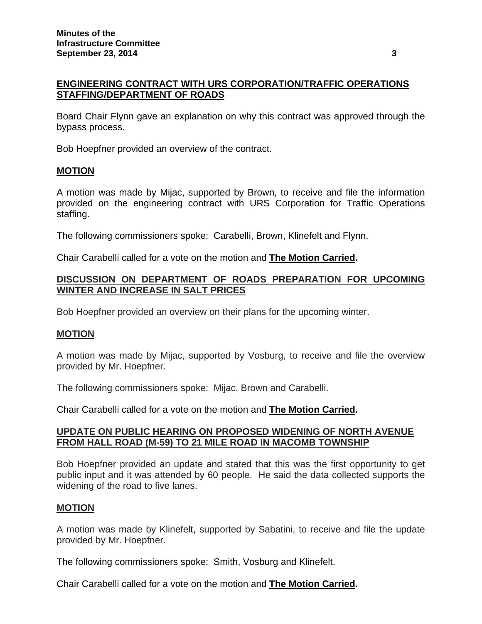# **ENGINEERING CONTRACT WITH URS CORPORATION/TRAFFIC OPERATIONS STAFFING/DEPARTMENT OF ROADS**

Board Chair Flynn gave an explanation on why this contract was approved through the bypass process.

Bob Hoepfner provided an overview of the contract.

#### **MOTION**

A motion was made by Mijac, supported by Brown, to receive and file the information provided on the engineering contract with URS Corporation for Traffic Operations staffing.

The following commissioners spoke: Carabelli, Brown, Klinefelt and Flynn.

Chair Carabelli called for a vote on the motion and **The Motion Carried.**

## **DISCUSSION ON DEPARTMENT OF ROADS PREPARATION FOR UPCOMING WINTER AND INCREASE IN SALT PRICES**

Bob Hoepfner provided an overview on their plans for the upcoming winter.

## **MOTION**

A motion was made by Mijac, supported by Vosburg, to receive and file the overview provided by Mr. Hoepfner.

The following commissioners spoke: Mijac, Brown and Carabelli.

Chair Carabelli called for a vote on the motion and **The Motion Carried.**

### **UPDATE ON PUBLIC HEARING ON PROPOSED WIDENING OF NORTH AVENUE FROM HALL ROAD (M-59) TO 21 MILE ROAD IN MACOMB TOWNSHIP**

Bob Hoepfner provided an update and stated that this was the first opportunity to get public input and it was attended by 60 people. He said the data collected supports the widening of the road to five lanes.

#### **MOTION**

A motion was made by Klinefelt, supported by Sabatini, to receive and file the update provided by Mr. Hoepfner.

The following commissioners spoke: Smith, Vosburg and Klinefelt.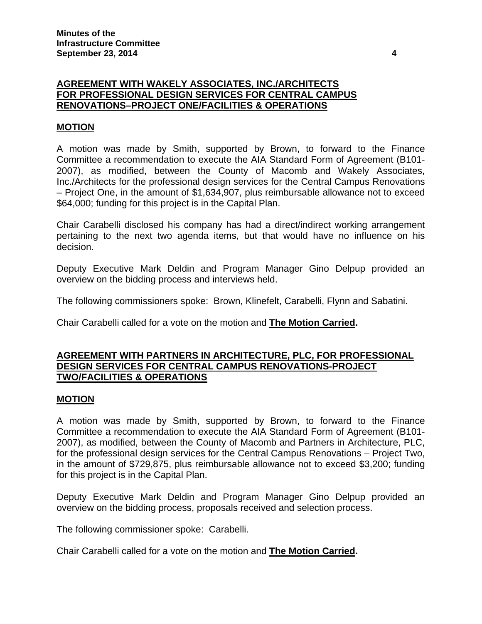## **AGREEMENT WITH WAKELY ASSOCIATES, INC./ARCHITECTS FOR PROFESSIONAL DESIGN SERVICES FOR CENTRAL CAMPUS RENOVATIONS–PROJECT ONE/FACILITIES & OPERATIONS**

## **MOTION**

A motion was made by Smith, supported by Brown, to forward to the Finance Committee a recommendation to execute the AIA Standard Form of Agreement (B101- 2007), as modified, between the County of Macomb and Wakely Associates, Inc./Architects for the professional design services for the Central Campus Renovations – Project One, in the amount of \$1,634,907, plus reimbursable allowance not to exceed \$64,000; funding for this project is in the Capital Plan.

Chair Carabelli disclosed his company has had a direct/indirect working arrangement pertaining to the next two agenda items, but that would have no influence on his decision.

Deputy Executive Mark Deldin and Program Manager Gino Delpup provided an overview on the bidding process and interviews held.

The following commissioners spoke: Brown, Klinefelt, Carabelli, Flynn and Sabatini.

Chair Carabelli called for a vote on the motion and **The Motion Carried.**

### **AGREEMENT WITH PARTNERS IN ARCHITECTURE, PLC, FOR PROFESSIONAL DESIGN SERVICES FOR CENTRAL CAMPUS RENOVATIONS-PROJECT TWO/FACILITIES & OPERATIONS**

#### **MOTION**

A motion was made by Smith, supported by Brown, to forward to the Finance Committee a recommendation to execute the AIA Standard Form of Agreement (B101- 2007), as modified, between the County of Macomb and Partners in Architecture, PLC, for the professional design services for the Central Campus Renovations – Project Two, in the amount of \$729,875, plus reimbursable allowance not to exceed \$3,200; funding for this project is in the Capital Plan.

Deputy Executive Mark Deldin and Program Manager Gino Delpup provided an overview on the bidding process, proposals received and selection process.

The following commissioner spoke: Carabelli.